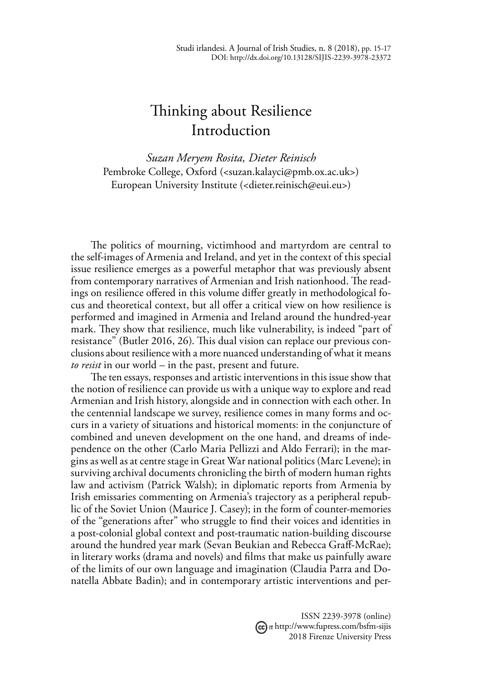## Thinking about Resilience Introduction

*Suzan Meryem Rosita, Dieter Reinisch* Pembroke College, Oxford (<suzan.kalayci@pmb.ox.ac.uk>) European University Institute (<dieter.reinisch@eui.eu>)

The politics of mourning, victimhood and martyrdom are central to the self-images of Armenia and Ireland, and yet in the context of this special issue resilience emerges as a powerful metaphor that was previously absent from contemporary narratives of Armenian and Irish nationhood. The readings on resilience offered in this volume differ greatly in methodological focus and theoretical context, but all offer a critical view on how resilience is performed and imagined in Armenia and Ireland around the hundred-year mark. They show that resilience, much like vulnerability, is indeed "part of resistance" (Butler 2016, 26). This dual vision can replace our previous conclusions about resilience with a more nuanced understanding of what it means *to resist* in our world – in the past, present and future.

The ten essays, responses and artistic interventions in this issue show that the notion of resilience can provide us with a unique way to explore and read Armenian and Irish history, alongside and in connection with each other. In the centennial landscape we survey, resilience comes in many forms and occurs in a variety of situations and historical moments: in the conjuncture of combined and uneven development on the one hand, and dreams of independence on the other (Carlo Maria Pellizzi and Aldo Ferrari); in the margins as well as at centre stage in Great War national politics (Marc Levene); in surviving archival documents chronicling the birth of modern human rights law and activism (Patrick Walsh); in diplomatic reports from Armenia by Irish emissaries commenting on Armenia's trajectory as a peripheral republic of the Soviet Union (Maurice J. Casey); in the form of counter-memories of the "generations after" who struggle to find their voices and identities in a post-colonial global context and post-traumatic nation-building discourse around the hundred year mark (Sevan Beukian and Rebecca Graff-McRae); in literary works (drama and novels) and films that make us painfully aware of the limits of our own language and imagination (Claudia Parra and Donatella Abbate Badin); and in contemporary artistic interventions and per-

> ISSN 2239-3978 (online) http://www.fupress.com/bsfm-sijis 2018 Firenze University Press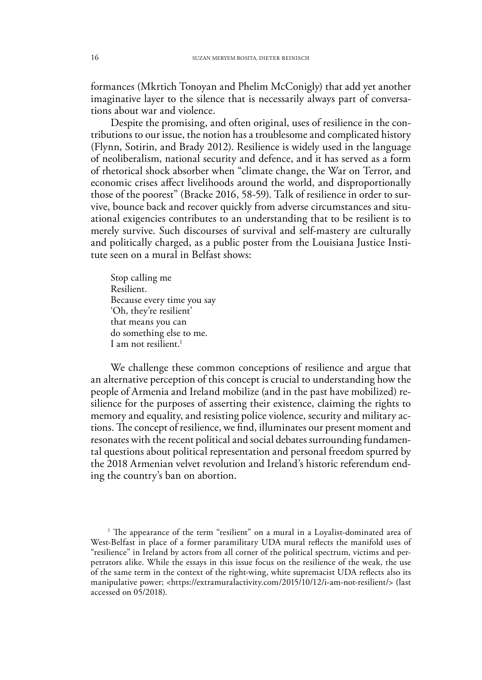formances (Mkrtich Tonoyan and Phelim McConigly) that add yet another imaginative layer to the silence that is necessarily always part of conversations about war and violence.

Despite the promising, and often original, uses of resilience in the contributions to our issue, the notion has a troublesome and complicated history (Flynn, Sotirin, and Brady 2012). Resilience is widely used in the language of neoliberalism, national security and defence, and it has served as a form of rhetorical shock absorber when "climate change, the War on Terror, and economic crises affect livelihoods around the world, and disproportionally those of the poorest" (Bracke 2016, 58-59). Talk of resilience in order to survive, bounce back and recover quickly from adverse circumstances and situational exigencies contributes to an understanding that to be resilient is to merely survive. Such discourses of survival and self-mastery are culturally and politically charged, as a public poster from the Louisiana Justice Institute seen on a mural in Belfast shows:

Stop calling me Resilient. Because every time you say 'Oh, they're resilient' that means you can do something else to me. I am not resilient.<sup>1</sup>

We challenge these common conceptions of resilience and argue that an alternative perception of this concept is crucial to understanding how the people of Armenia and Ireland mobilize (and in the past have mobilized) resilience for the purposes of asserting their existence, claiming the rights to memory and equality, and resisting police violence, security and military actions. The concept of resilience, we find, illuminates our present moment and resonates with the recent political and social debates surrounding fundamental questions about political representation and personal freedom spurred by the 2018 Armenian velvet revolution and Ireland's historic referendum ending the country's ban on abortion.

<sup>1</sup> The appearance of the term "resilient" on a mural in a Loyalist-dominated area of West-Belfast in place of a former paramilitary UDA mural reflects the manifold uses of "resilience" in Ireland by actors from all corner of the political spectrum, victims and perpetrators alike. While the essays in this issue focus on the resilience of the weak, the use of the same term in the context of the right-wing, white supremacist UDA reflects also its manipulative power; <https://extramuralactivity.com/2015/10/12/i-am-not-resilient/> (last accessed on 05/2018).